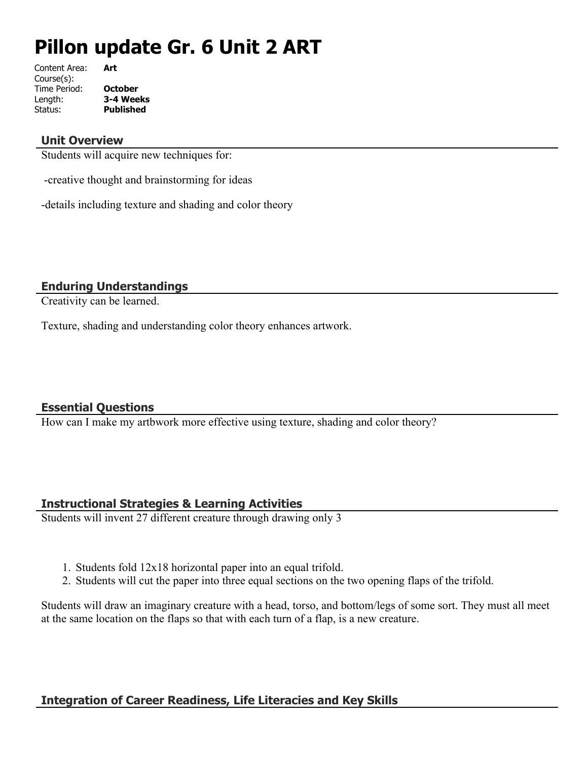# **Pillon update Gr. 6 Unit 2 ART**

| Content Area: | Art            |
|---------------|----------------|
| Course(s):    |                |
| Time Period:  | <b>October</b> |
| Length:       | 3-4 Weeks      |
| Status:       | Published      |
|               |                |

#### **Unit Overview**

Students will acquire new techniques for:

-creative thought and brainstorming for ideas

-details including texture and shading and color theory

#### **Enduring Understandings**

Creativity can be learned.

Texture, shading and understanding color theory enhances artwork.

#### **Essential Questions**

How can I make my artbwork more effective using texture, shading and color theory?

# **Instructional Strategies & Learning Activities**

Students will invent 27 different creature through drawing only 3

- 1. Students fold 12x18 horizontal paper into an equal trifold.
- 2. Students will cut the paper into three equal sections on the two opening flaps of the trifold.

Students will draw an imaginary creature with a head, torso, and bottom/legs of some sort. They must all meet at the same location on the flaps so that with each turn of a flap, is a new creature.

# **Integration of Career Readiness, Life Literacies and Key Skills**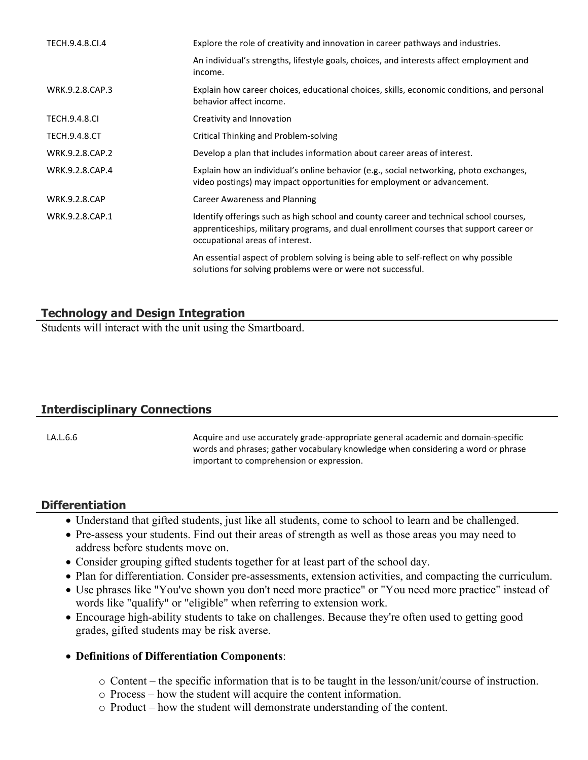| TECH.9.4.8.CI.4      | Explore the role of creativity and innovation in career pathways and industries.                                                                                                                                    |
|----------------------|---------------------------------------------------------------------------------------------------------------------------------------------------------------------------------------------------------------------|
|                      | An individual's strengths, lifestyle goals, choices, and interests affect employment and<br>income.                                                                                                                 |
| WRK.9.2.8.CAP.3      | Explain how career choices, educational choices, skills, economic conditions, and personal<br>behavior affect income.                                                                                               |
| <b>TECH.9.4.8.CI</b> | Creativity and Innovation                                                                                                                                                                                           |
| <b>TECH.9.4.8.CT</b> | Critical Thinking and Problem-solving                                                                                                                                                                               |
| WRK.9.2.8.CAP.2      | Develop a plan that includes information about career areas of interest.                                                                                                                                            |
| WRK.9.2.8.CAP.4      | Explain how an individual's online behavior (e.g., social networking, photo exchanges,<br>video postings) may impact opportunities for employment or advancement.                                                   |
| <b>WRK.9.2.8.CAP</b> | Career Awareness and Planning                                                                                                                                                                                       |
| WRK.9.2.8.CAP.1      | Identify offerings such as high school and county career and technical school courses,<br>apprenticeships, military programs, and dual enrollment courses that support career or<br>occupational areas of interest. |
|                      | An essential aspect of problem solving is being able to self-reflect on why possible<br>solutions for solving problems were or were not successful.                                                                 |

# **Technology and Design Integration**

Students will interact with the unit using the Smartboard.

# **Interdisciplinary Connections**

LA.L.6.6 **Acquire and use accurately grade-appropriate general academic and domain-specific** in Acquire and use accurately grade-appropriate general academic and domain-specific words and phrases; gather vocabulary knowledge when considering a word or phrase important to comprehension or expression.

# **Differentiation**

- Understand that gifted students, just like all students, come to school to learn and be challenged.
- Pre-assess your students. Find out their areas of strength as well as those areas you may need to address before students move on.
- Consider grouping gifted students together for at least part of the school day.
- Plan for differentiation. Consider pre-assessments, extension activities, and compacting the curriculum.
- Use phrases like "You've shown you don't need more practice" or "You need more practice" instead of words like "qualify" or "eligible" when referring to extension work.
- Encourage high-ability students to take on challenges. Because they're often used to getting good grades, gifted students may be risk averse.

#### **Definitions of Differentiation Components**:

- o Content the specific information that is to be taught in the lesson/unit/course of instruction.
- o Process how the student will acquire the content information.
- o Product how the student will demonstrate understanding of the content.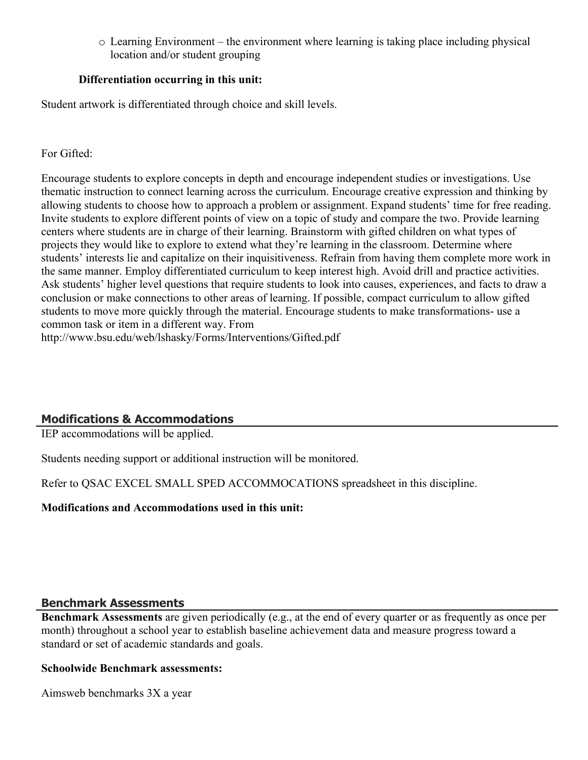o Learning Environment – the environment where learning is taking place including physical location and/or student grouping

#### **Differentiation occurring in this unit:**

Student artwork is differentiated through choice and skill levels.

#### For Gifted:

Encourage students to explore concepts in depth and encourage independent studies or investigations. Use thematic instruction to connect learning across the curriculum. Encourage creative expression and thinking by allowing students to choose how to approach a problem or assignment. Expand students' time for free reading. Invite students to explore different points of view on a topic of study and compare the two. Provide learning centers where students are in charge of their learning. Brainstorm with gifted children on what types of projects they would like to explore to extend what they're learning in the classroom. Determine where students' interests lie and capitalize on their inquisitiveness. Refrain from having them complete more work in the same manner. Employ differentiated curriculum to keep interest high. Avoid drill and practice activities. Ask students' higher level questions that require students to look into causes, experiences, and facts to draw a conclusion or make connections to other areas of learning. If possible, compact curriculum to allow gifted students to move more quickly through the material. Encourage students to make transformations- use a common task or item in a different way. From http://www.bsu.edu/web/lshasky/Forms/Interventions/Gifted.pdf

# **Modifications & Accommodations**

IEP accommodations will be applied.

Students needing support or additional instruction will be monitored.

Refer to QSAC EXCEL SMALL SPED ACCOMMOCATIONS spreadsheet in this discipline.

#### **Modifications and Accommodations used in this unit:**

#### **Benchmark Assessments**

**Benchmark Assessments** are given periodically (e.g., at the end of every quarter or as frequently as once per month) throughout a school year to establish baseline achievement data and measure progress toward a standard or set of academic standards and goals.

#### **Schoolwide Benchmark assessments:**

Aimsweb benchmarks 3X a year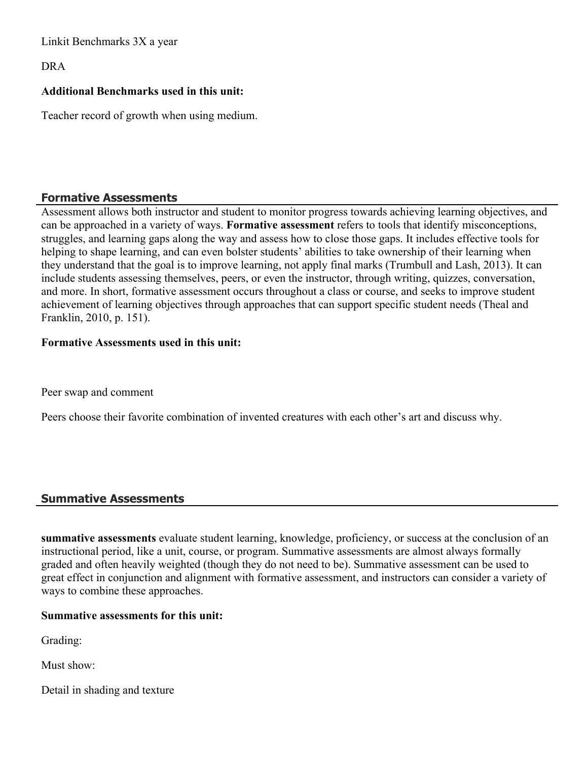Linkit Benchmarks 3X a year

DRA

#### **Additional Benchmarks used in this unit:**

Teacher record of growth when using medium.

#### **Formative Assessments**

Assessment allows both instructor and student to monitor progress towards achieving learning objectives, and can be approached in a variety of ways. **Formative assessment** refers to tools that identify misconceptions, struggles, and learning gaps along the way and assess how to close those gaps. It includes effective tools for helping to shape learning, and can even bolster students' abilities to take ownership of their learning when they understand that the goal is to improve learning, not apply final marks (Trumbull and Lash, 2013). It can include students assessing themselves, peers, or even the instructor, through writing, quizzes, conversation, and more. In short, formative assessment occurs throughout a class or course, and seeks to improve student achievement of learning objectives through approaches that can support specific student needs (Theal and Franklin, 2010, p. 151).

#### **Formative Assessments used in this unit:**

Peer swap and comment

Peers choose their favorite combination of invented creatures with each other's art and discuss why.

#### **Summative Assessments**

**summative assessments** evaluate student learning, knowledge, proficiency, or success at the conclusion of an instructional period, like a unit, course, or program. Summative assessments are almost always formally graded and often heavily weighted (though they do not need to be). Summative assessment can be used to great effect in conjunction and alignment with formative assessment, and instructors can consider a variety of ways to combine these approaches.

#### **Summative assessments for this unit:**

Grading:

Must show:

Detail in shading and texture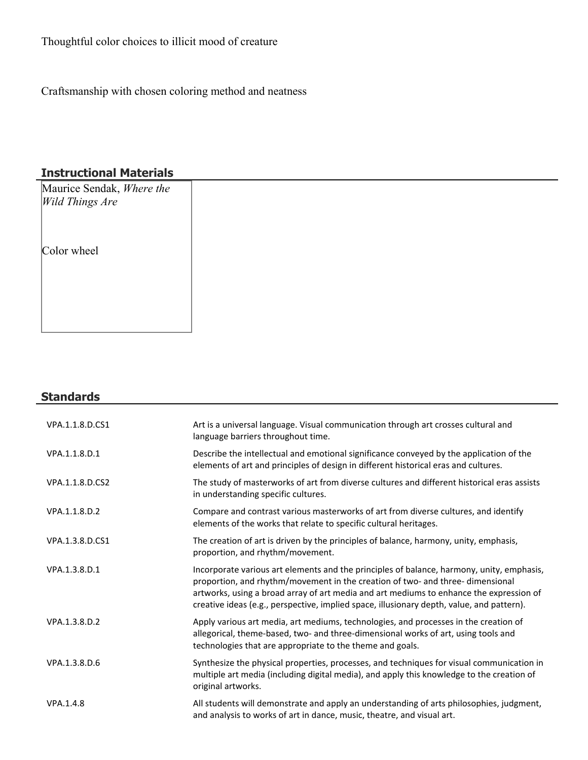# Thoughtful color choices to illicit mood of creature

Craftsmanship with chosen coloring method and neatness

# **Instructional Materials**

| Maurice Sendak, Where the<br><i>Wild Things Are</i> |  |
|-----------------------------------------------------|--|
|                                                     |  |
| Color wheel                                         |  |
|                                                     |  |
|                                                     |  |
|                                                     |  |

# **Standards**

| VPA.1.1.8.D.CS1 | Art is a universal language. Visual communication through art crosses cultural and<br>language barriers throughout time.                                                                                                                                                                                                                                            |
|-----------------|---------------------------------------------------------------------------------------------------------------------------------------------------------------------------------------------------------------------------------------------------------------------------------------------------------------------------------------------------------------------|
| VPA.1.1.8.D.1   | Describe the intellectual and emotional significance conveyed by the application of the<br>elements of art and principles of design in different historical eras and cultures.                                                                                                                                                                                      |
| VPA.1.1.8.D.CS2 | The study of masterworks of art from diverse cultures and different historical eras assists<br>in understanding specific cultures.                                                                                                                                                                                                                                  |
| VPA.1.1.8.D.2   | Compare and contrast various masterworks of art from diverse cultures, and identify<br>elements of the works that relate to specific cultural heritages.                                                                                                                                                                                                            |
| VPA.1.3.8.D.CS1 | The creation of art is driven by the principles of balance, harmony, unity, emphasis,<br>proportion, and rhythm/movement.                                                                                                                                                                                                                                           |
| VPA.1.3.8.D.1   | Incorporate various art elements and the principles of balance, harmony, unity, emphasis,<br>proportion, and rhythm/movement in the creation of two- and three- dimensional<br>artworks, using a broad array of art media and art mediums to enhance the expression of<br>creative ideas (e.g., perspective, implied space, illusionary depth, value, and pattern). |
| VPA.1.3.8.D.2   | Apply various art media, art mediums, technologies, and processes in the creation of<br>allegorical, theme-based, two- and three-dimensional works of art, using tools and<br>technologies that are appropriate to the theme and goals.                                                                                                                             |
| VPA.1.3.8.D.6   | Synthesize the physical properties, processes, and techniques for visual communication in<br>multiple art media (including digital media), and apply this knowledge to the creation of<br>original artworks.                                                                                                                                                        |
| VPA.1.4.8       | All students will demonstrate and apply an understanding of arts philosophies, judgment,<br>and analysis to works of art in dance, music, theatre, and visual art.                                                                                                                                                                                                  |